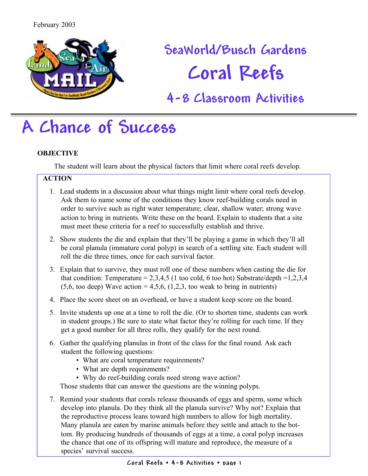

# **SeaWorld/Busch Gardens Coral Reefs**

### **4-8 Classroom Activities**

## **A Chance of Success**

### **OBJECTIVE**

The student will learn about the physical factors that limit where coral reefs develop.

### **ACTION**

- 1. Lead students in a discussion about what things might limit where coral reefs develop. Ask them to name some of the conditions they know reef-building corals need in order to survive such as right water temperature; clear, shallow water; strong wave action to bring in nutrients. Write these on the board. Explain to students that a site must meet these criteria for a reef to successfully establish and thrive.
- 2. Show students the die and explain that they'll be playing a game in which they'll all be coral planula (immature coral polyp) in search of a settling site. Each student will roll the die three times, once for each survival factor.
- 3. Explain that to survive, they must roll one of these numbers when casting the die for that condition: Temperature =  $2,3,4,5$  (1 too cold, 6 too hot) Substrate/depth = 1,2,3,4  $(5,6, \text{ too deep})$  Wave action = 4,5,6,  $(1,2,3, \text{ too weak to bring in nutrients})$
- 4. Place the score sheet on an overhead, or have a student keep score on the board.
- 5. Invite students up one at a time to roll the die. (Or to shorten time, students can work in student groups.) Be sure to state what factor they're rolling for each time. If they get a good number for all three rolls, they qualify for the next round.
- 6. Gather the qualifying planulas in front of the class for the final round. Ask each student the following questions:
	- What are coral temperature requirements?
	- What are depth requirements?
	- Why do reef-building corals need strong wave action?

Those students that can answer the questions are the winning polyps.

7. Remind your students that corals release thousands of eggs and sperm, some which develop into planula. Do they think all the planula survive? Why not? Explain that the reproductive process leans toward high numbers to allow for high mortality. Many planula are eaten by marine animals before they settle and attach to the bottom. By producing hundreds of thousands of eggs at a time, a coral polyp increases the chance that one of its offspring will mature and reproduce, the measure of a species' survival success.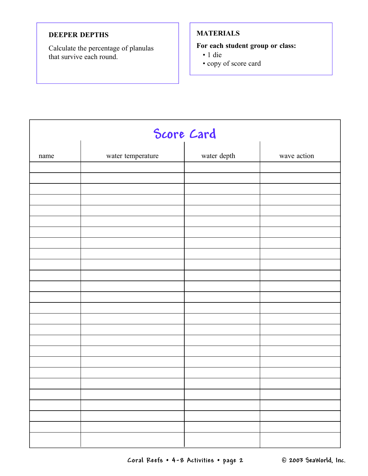### **DEEPER DEPTHS**

Calculate the percentage of planulas that survive each round.

### **MATERIALS**

### **For each student group or class:**

- 1 die
- copy of score card

| Score Card |                   |             |             |
|------------|-------------------|-------------|-------------|
| name       | water temperature | water depth | wave action |
|            |                   |             |             |
|            |                   |             |             |
|            |                   |             |             |
|            |                   |             |             |
|            |                   |             |             |
|            |                   |             |             |
|            |                   |             |             |
|            |                   |             |             |
|            |                   |             |             |
|            |                   |             |             |
|            |                   |             |             |
|            |                   |             |             |
|            |                   |             |             |
|            |                   |             |             |
|            |                   |             |             |
|            |                   |             |             |
|            |                   |             |             |
|            |                   |             |             |
|            |                   |             |             |
|            |                   |             |             |
|            |                   |             |             |
|            |                   |             |             |
|            |                   |             |             |
|            |                   |             |             |
|            |                   |             |             |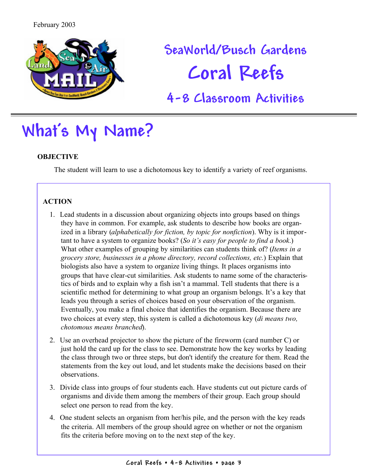

# **SeaWorld/Busch Gardens Coral Reefs**

### **4-8 Classroom Activities**

## **What's My Name?**

### **OBJECTIVE**

The student will learn to use a dichotomous key to identify a variety of reef organisms.

### **ACTION**

- 1. Lead students in a discussion about organizing objects into groups based on things they have in common. For example, ask students to describe how books are organized in a library (*alphabetically for fiction, by topic for nonfiction*). Why is it important to have a system to organize books? (*So it's easy for people to find a book*.) What other examples of grouping by similarities can students think of? (*Items in a grocery store, businesses in a phone directory, record collections, etc.*) Explain that biologists also have a system to organize living things. It places organisms into groups that have clear-cut similarities. Ask students to name some of the characteristics of birds and to explain why a fish isn't a mammal. Tell students that there is a scientific method for determining to what group an organism belongs. It's a key that leads you through a series of choices based on your observation of the organism. Eventually, you make a final choice that identifies the organism. Because there are two choices at every step, this system is called a dichotomous key (*di means two, chotomous means branched*).
- 2. Use an overhead projector to show the picture of the fireworm (card number C) or just hold the card up for the class to see. Demonstrate how the key works by leading the class through two or three steps, but don't identify the creature for them. Read the statements from the key out loud, and let students make the decisions based on their observations.
- 3. Divide class into groups of four students each. Have students cut out picture cards of organisms and divide them among the members of their group. Each group should select one person to read from the key.
- 4. One student selects an organism from her/his pile, and the person with the key reads the criteria. All members of the group should agree on whether or not the organism fits the criteria before moving on to the next step of the key.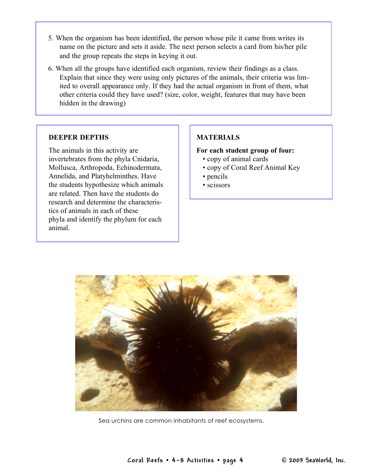- 5. When the organism has been identified, the person whose pile it came from writes its name on the picture and sets it aside. The next person selects a card from his/her pile and the group repeats the steps in keying it out.
- 6. When all the groups have identified each organism, review their findings as a class. Explain that since they were using only pictures of the animals, their criteria was limited to overall appearance only. If they had the actual organism in front of them, what other criteria could they have used? (size, color, weight, features that may have been hidden in the drawing)

#### **DEEPER DEPTHS**

The animals in this activity are invertebrates from the phyla Cnidaria, Mollusca, Arthropoda, Echinodermata, Annelida, and Platyhelminthes. Have the students hypothesize which animals are related. Then have the students do research and determine the characteristics of animals in each of these phyla and identify the phylum for each animal.

#### **MATERIALS**

#### **For each student group of four:**

- copy of animal cards
- copy of Coral Reef Animal Key
- pencils
- scissors



Sea urchins are common inhabitants of reef ecosystems.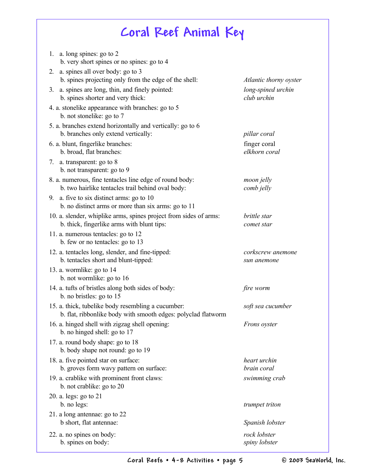### **Coral Reef Animal Key**

| a. long spines: go to 2<br>1.<br>b. very short spines or no spines: go to 4                                         |                                   |
|---------------------------------------------------------------------------------------------------------------------|-----------------------------------|
| a. spines all over body: go to 3<br>2.                                                                              |                                   |
| b. spines projecting only from the edge of the shell:                                                               | Atlantic thorny oyster            |
| a. spines are long, thin, and finely pointed:<br>3.<br>b. spines shorter and very thick:                            | long-spined urchin<br>club urchin |
| 4. a. stonelike appearance with branches: go to 5<br>b. not stonelike: go to 7                                      |                                   |
| 5. a. branches extend horizontally and vertically: go to 6<br>b. branches only extend vertically:                   | pillar coral                      |
| 6. a. blunt, fingerlike branches:<br>b. broad, flat branches:                                                       | finger coral<br>elkhorn coral     |
| a. transparent: go to 8<br>7.<br>b. not transparent: go to 9                                                        |                                   |
| 8. a. numerous, fine tentacles line edge of round body:<br>b. two hairlike tentacles trail behind oval body:        | moon jelly<br>comb jelly          |
| 9. a. five to six distinct arms: go to $10$<br>b. no distinct arms or more than six arms: go to 11                  |                                   |
| 10. a. slender, whiplike arms, spines project from sides of arms:<br>b. thick, fingerlike arms with blunt tips:     | brittle star<br>comet star        |
| 11. a. numerous tentacles: go to 12<br>b. few or no tentacles: go to 13                                             |                                   |
| 12. a. tentacles long, slender, and fine-tipped:<br>b. tentacles short and blunt-tipped:                            | corkscrew anemone<br>sun anemone  |
| 13. a. wormlike: go to 14<br>b. not wormlike: go to 16                                                              |                                   |
| 14. a. tufts of bristles along both sides of body:<br>b. no bristles: go to 15                                      | fire worm                         |
| 15. a. thick, tubelike body resembling a cucumber:<br>b. flat, ribbonlike body with smooth edges: polyclad flatworm | soft sea cucumber                 |
| 16. a. hinged shell with zigzag shell opening:<br>b. no hinged shell: go to 17                                      | Frons oyster                      |
| 17. a. round body shape: go to 18<br>b. body shape not round: go to 19                                              |                                   |
| 18. a. five pointed star on surface:<br>b. groves form wavy pattern on surface:                                     | heart urchin<br>brain coral       |
| 19. a. crablike with prominent front claws:<br>b. not crablike: go to 20                                            | swimming crab                     |
| 20. a. legs: go to 21<br>b. no legs:                                                                                | trumpet triton                    |
| 21. a long antennae: go to 22<br>b short, flat antennae:                                                            | Spanish lobster                   |
| 22. a. no spines on body:<br>b. spines on body:                                                                     | rock lobster<br>spiny lobster     |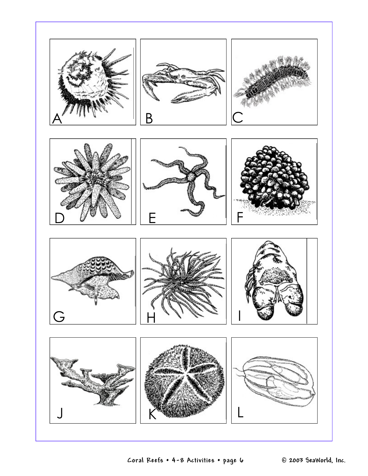

**Coral Reefs • 4-8 Activities • page 6 © 2003 SeaWorld, Inc.**